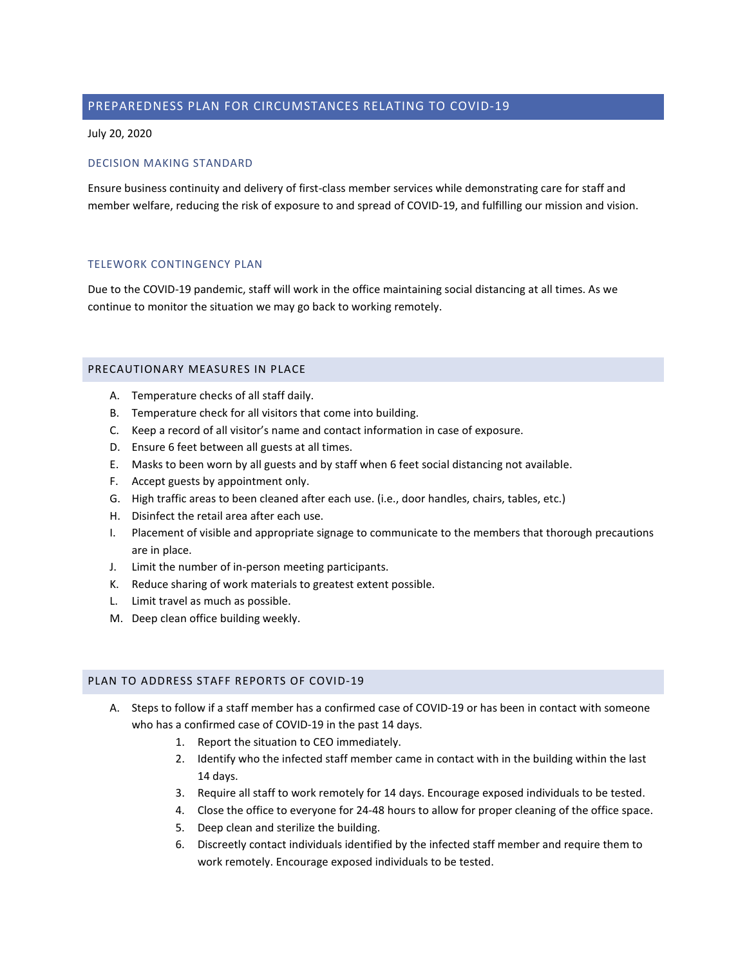# PREPAREDNESS PLAN FOR CIRCUMSTANCES RELATING TO COVID-19

July 20, 2020

#### DECISION MAKING STANDARD

Ensure business continuity and delivery of first-class member services while demonstrating care for staff and member welfare, reducing the risk of exposure to and spread of COVID-19, and fulfilling our mission and vision.

#### TELEWORK CONTINGENCY PLAN

Due to the COVID-19 pandemic, staff will work in the office maintaining social distancing at all times. As we continue to monitor the situation we may go back to working remotely.

## PRECAUTIONARY MEASURES IN PLACE

- A. Temperature checks of all staff daily.
- B. Temperature check for all visitors that come into building.
- C. Keep a record of all visitor's name and contact information in case of exposure.
- D. Ensure 6 feet between all guests at all times.
- E. Masks to been worn by all guests and by staff when 6 feet social distancing not available.
- F. Accept guests by appointment only.
- G. High traffic areas to been cleaned after each use. (i.e., door handles, chairs, tables, etc.)
- H. Disinfect the retail area after each use.
- I. Placement of visible and appropriate signage to communicate to the members that thorough precautions are in place.
- J. Limit the number of in-person meeting participants.
- K. Reduce sharing of work materials to greatest extent possible.
- L. Limit travel as much as possible.
- M. Deep clean office building weekly.

### PLAN TO ADDRESS STAFF REPORTS OF COVID-19

- A. Steps to follow if a staff member has a confirmed case of COVID-19 or has been in contact with someone who has a confirmed case of COVID-19 in the past 14 days.
	- 1. Report the situation to CEO immediately.
	- 2. Identify who the infected staff member came in contact with in the building within the last 14 days.
	- 3. Require all staff to work remotely for 14 days. Encourage exposed individuals to be tested.
	- 4. Close the office to everyone for 24-48 hours to allow for proper cleaning of the office space.
	- 5. Deep clean and sterilize the building.
	- 6. Discreetly contact individuals identified by the infected staff member and require them to work remotely. Encourage exposed individuals to be tested.